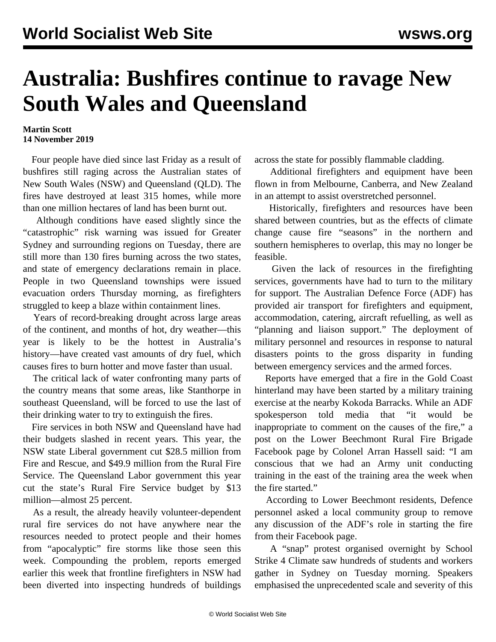## **Australia: Bushfires continue to ravage New South Wales and Queensland**

## **Martin Scott 14 November 2019**

 Four people have died since last Friday as a result of bushfires still raging across the Australian states of New South Wales (NSW) and Queensland (QLD). The fires have destroyed at least 315 homes, while more than one million hectares of land has been burnt out.

 Although conditions have eased slightly since the "catastrophic" risk warning was issued for Greater Sydney and surrounding regions on Tuesday, there are still more than 130 fires burning across the two states, and state of emergency declarations remain in place. People in two Queensland townships were issued evacuation orders Thursday morning, as firefighters struggled to keep a blaze within containment lines.

 Years of record-breaking drought across large areas of the continent, and months of hot, dry weather—this year is likely to be the hottest in Australia's history—have created vast amounts of dry fuel, which causes fires to burn hotter and move faster than usual.

 The critical lack of water confronting many parts of the country means that some areas, like Stanthorpe in southeast Queensland, will be forced to use the last of their drinking water to try to extinguish the fires.

 Fire services in both NSW and Queensland have had their budgets slashed in recent years. This year, the NSW state Liberal government cut \$28.5 million from Fire and Rescue, and \$49.9 million from the Rural Fire Service. The Queensland Labor government this year cut the state's Rural Fire Service budget by \$13 million—almost 25 percent.

 As a result, the already heavily volunteer-dependent rural fire services do not have anywhere near the resources needed to protect people and their homes from "apocalyptic" fire storms like those seen this week. Compounding the problem, reports emerged earlier this week that frontline firefighters in NSW had been diverted into inspecting hundreds of buildings

across the state for possibly flammable cladding.

 Additional firefighters and equipment have been flown in from Melbourne, Canberra, and New Zealand in an attempt to assist overstretched personnel.

 Historically, firefighters and resources have been shared between countries, but as the effects of climate change cause fire "seasons" in the northern and southern hemispheres to overlap, this may no longer be feasible.

 Given the lack of resources in the firefighting services, governments have had to turn to the military for support. The Australian Defence Force (ADF) has provided air transport for firefighters and equipment, accommodation, catering, aircraft refuelling, as well as "planning and liaison support." The deployment of military personnel and resources in response to natural disasters points to the gross disparity in funding between emergency services and the armed forces.

 Reports have emerged that a fire in the Gold Coast hinterland may have been started by a military training exercise at the nearby Kokoda Barracks. While an ADF spokesperson told media that "it would be inappropriate to comment on the causes of the fire," a post on the Lower Beechmont Rural Fire Brigade Facebook page by Colonel Arran Hassell said: "I am conscious that we had an Army unit conducting training in the east of the training area the week when the fire started."

 According to Lower Beechmont residents, Defence personnel asked a local community group to remove any discussion of the ADF's role in starting the fire from their Facebook page.

 A "snap" protest organised overnight by School Strike 4 Climate saw hundreds of students and workers gather in Sydney on Tuesday morning. Speakers emphasised the unprecedented scale and severity of this